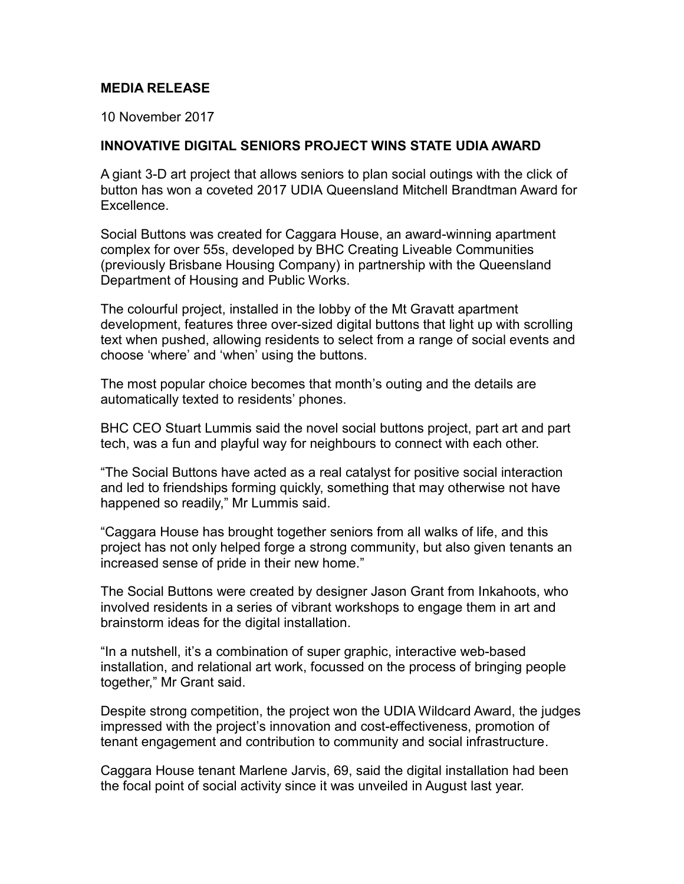## **MEDIA RELEASE**

10 November 2017

## **INNOVATIVE DIGITAL SENIORS PROJECT WINS STATE UDIA AWARD**

A giant 3-D art project that allows seniors to plan social outings with the click of button has won a coveted 2017 UDIA Queensland Mitchell Brandtman Award for Excellence.

Social Buttons was created for Caggara House, an award-winning apartment complex for over 55s, developed by BHC Creating Liveable Communities (previously Brisbane Housing Company) in partnership with the Queensland Department of Housing and Public Works.

The colourful project, installed in the lobby of the Mt Gravatt apartment development, features three over-sized digital buttons that light up with scrolling text when pushed, allowing residents to select from a range of social events and choose 'where' and 'when' using the buttons.

The most popular choice becomes that month's outing and the details are automatically texted to residents' phones.

BHC CEO Stuart Lummis said the novel social buttons project, part art and part tech, was a fun and playful way for neighbours to connect with each other.

"The Social Buttons have acted as a real catalyst for positive social interaction and led to friendships forming quickly, something that may otherwise not have happened so readily," Mr Lummis said.

"Caggara House has brought together seniors from all walks of life, and this project has not only helped forge a strong community, but also given tenants an increased sense of pride in their new home."

The Social Buttons were created by designer Jason Grant from Inkahoots, who involved residents in a series of vibrant workshops to engage them in art and brainstorm ideas for the digital installation.

"In a nutshell, it's a combination of super graphic, interactive web-based installation, and relational art work, focussed on the process of bringing people together," Mr Grant said.

Despite strong competition, the project won the UDIA Wildcard Award, the judges impressed with the project's innovation and cost-effectiveness, promotion of tenant engagement and contribution to community and social infrastructure.

Caggara House tenant Marlene Jarvis, 69, said the digital installation had been the focal point of social activity since it was unveiled in August last year.